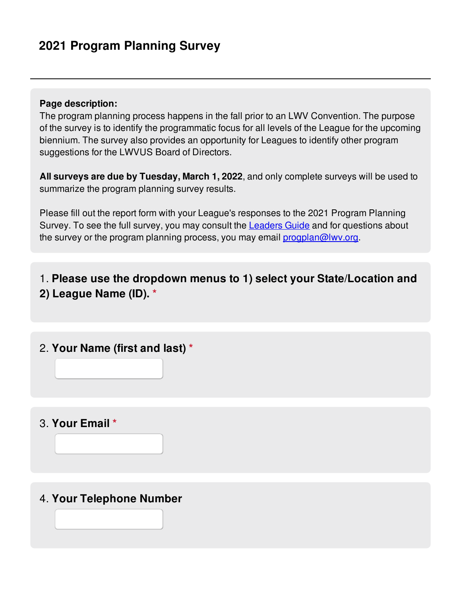## **Page description:**

The program planning process happens in the fall prior to an LWV Convention. The purpose of the survey is to identify the programmatic focus for all levels of the League for the upcoming biennium. The survey also provides an opportunity for Leagues to identify other program suggestions for the LWVUS Board of Directors.

**All surveys are due by Tuesday, March 1, 2022**, and only complete surveys will be used to summarize the program planning survey results.

Please fill out the report form with your League's responses to the 2021 Program Planning Survey. To see the full survey, you may consult the **[Leaders](https://www.lwv.org/league-management/policies-guidelines/leaders-guide-lwvus-program-planning-2022-2024) Guide** and for questions about the survey or the program planning process, you may email [progplan@lwv.org](mailto:progplan@lwv.org?subject=Program Planning Process or Survey Question).

1. **Please use the dropdown menus to 1) select your State/Location and 2) League Name (ID). \***

2. **Your Name (first and last) \***

3. **Your Email \***

4. **Your Telephone Number**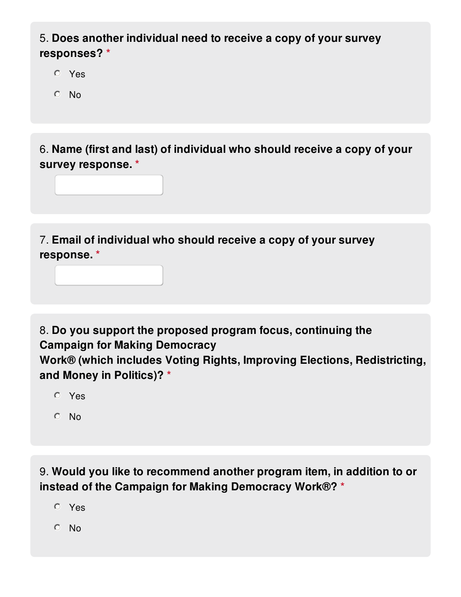## 5. **Does another individual need to receive a copy of your survey responses? \***

- Yes
- No

6. **Name (first and last) of individual who should receive a copy of your survey response. \***

7. **Email of individual who should receive a copy of your survey response. \***

8. **Do you support the proposed program focus, continuing the Campaign for Making Democracy Work® (which includes Voting Rights, Improving Elections, Redistricting, and Money in Politics)? \***

- Yes
- $O$  No

9. **Would you like to recommend another program item, in addition to or instead of the Campaign for Making Democracy Work®? \***

- Yes
- $O$  No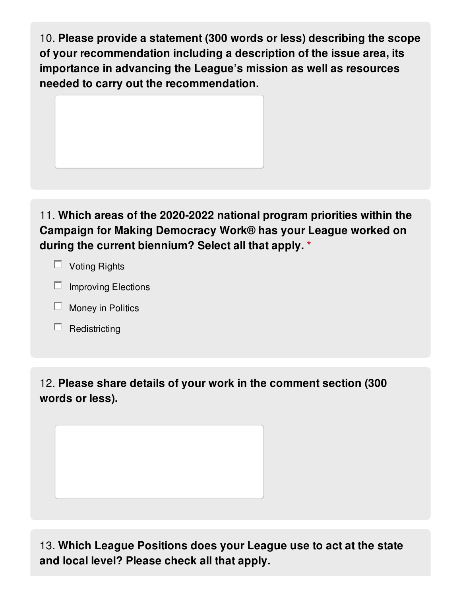10. **Please provide a statement (300 words or less) describing the scope of your recommendation including a description of the issue area, its importance in advancing the League's mission as well as resources needed to carry out the recommendation.**



11. **Which areas of the 2020-2022 national program priorities within the Campaign for Making Democracy Work® has your League worked on during the current biennium? Select all that apply. \***

- $\Box$  Voting Rights
- $\Box$  Improving Elections
- $\Box$  Money in Politics
- $\Box$  Redistricting

12. **Please share details of your work in the comment section (300 words or less).**

13. **Which League Positions does your League use to act at the state and local level? Please check all that apply.**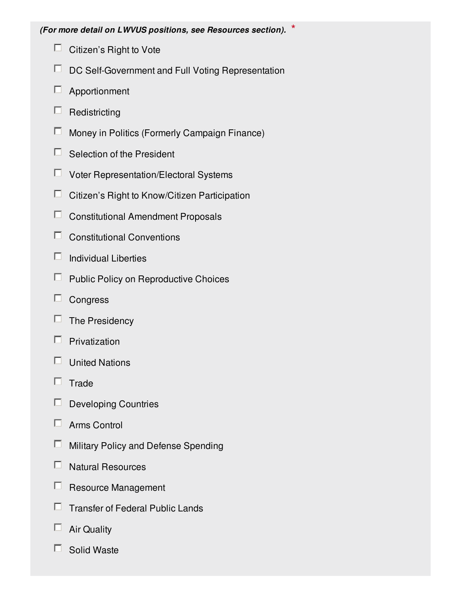- $\Box$  Citizen's Right to Vote
- $\Box$  DC Self-Government and Full Voting Representation
- Apportionment
- $\Box$  Redistricting
- $\Box$  Money in Politics (Formerly Campaign Finance)
- $\Box$  Selection of the President
- Voter Representation/Electoral Systems
- $\Box$  Citizen's Right to Know/Citizen Participation
- $\Box$  Constitutional Amendment Proposals
- Constitutional Conventions
- $\Box$  Individual Liberties
- $\Box$  Public Policy on Reproductive Choices
- $\Box$  Congress
- $\Box$  The Presidency
- $\Box$  Privatization
- $\Box$  United Nations
- $\Box$  Trade
- $\Box$  Developing Countries
- $\Box$  Arms Control
- **E** Military Policy and Defense Spending
- $\Box$  Natural Resources
- $\Box$  Resource Management
- $\Box$  Transfer of Federal Public Lands
- $\Box$  Air Quality
- $\Box$  Solid Waste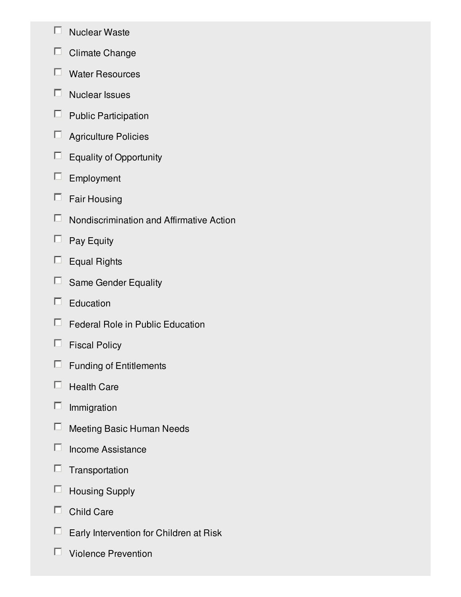- $\Box$  Nuclear Waste
- $\Box$  Climate Change
- Water Resources
- $\Box$  Nuclear Issues
- $\Box$  Public Participation
- Agriculture Policies
- $\Box$  Equality of Opportunity
- $\Box$  Employment
- $\Box$  Fair Housing
- $\Box$  Nondiscrimination and Affirmative Action
- $\Box$  Pay Equity
- $\Box$  Equal Rights
- □ Same Gender Equality
- $\Box$  Education
- $\Box$  Federal Role in Public Education
- $\Box$  Fiscal Policy
- $\Box$  Funding of Entitlements
- $\Box$  Health Care
- $\Box$  Immigration
- $\Box$  Meeting Basic Human Needs
- $\Box$  Income Assistance
- $\Box$  Transportation
- $\Box$  Housing Supply
- $\Box$  Child Care
- $\Box$  Early Intervention for Children at Risk
- $\Box$  Violence Prevention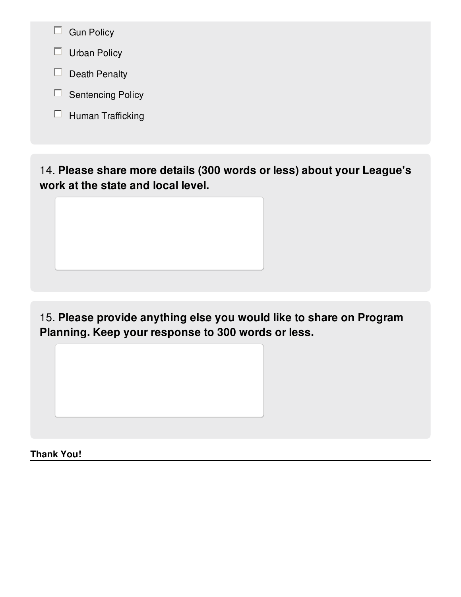- $\Box$  Gun Policy
- $\Box$  Urban Policy
- $\Box$  Death Penalty
- $\square$  Sentencing Policy
- $\Box$  Human Trafficking

14. **Please share more details (300 words or less) about your League's work at the state and local level.**

15. **Please provide anything else you would like to share on Program Planning. Keep your response to 300 words or less.**

**Thank You!**